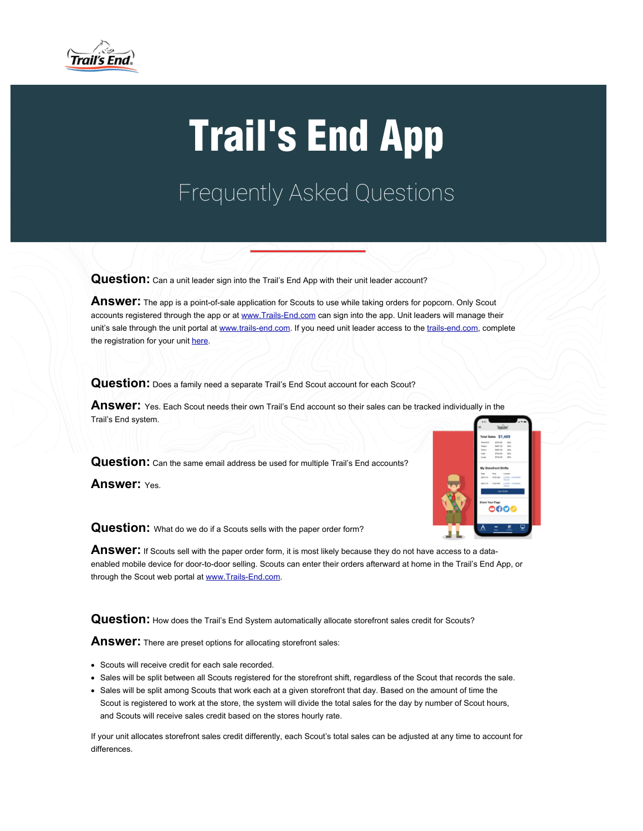

## Trail's End App

Frequently Asked Questions

Question: Can a unit leader sign into the Trail's End App with their unit leader account?

Answer: The app is a point-of-sale application for Scouts to use while taking orders for popcorn. Only Scout accounts registered through the app or at [www.Trails-End.com](https://app.trails-end.com/faq/clkn/http/www.trails-end.com/) can sign into the app. Unit leaders will manage their unit's sale through the unit portal at [www.trails-end.com](https://app.trails-end.com/faq/clkn/http/www.trails-end.com/). If you need unit leader access to the [trails-end.com](https://app.trails-end.com/faq/clkn/http/www.trails-end.com/), complete the registration for your unit [here](https://app.trails-end.com/faq/clkn/http/www.trails-end.com/unit-registration).

**Question:** Does a family need a separate Trail's End Scout account for each Scout?

**Answer:** Yes. Each Scout needs their own Trail's End account so their sales can be tracked individually in the Trail's End system.

Question: Can the same email address be used for multiple Trail's End accounts?

**Answer:** Yes.



**Question:** What do we do if a Scouts sells with the paper order form?

Answer: If Scouts sell with the paper order form, it is most likely because they do not have access to a dataenabled mobile device for door-to-door selling. Scouts can enter their orders afterward at home in the Trail's End App, or through the Scout web portal at [www.Trails-End.com.](https://app.trails-end.com/faq/clkn/http/www.trails-end.com/)

Question: How does the Trail's End System automatically allocate storefront sales credit for Scouts?

**Answer:** There are preset options for allocating storefront sales:

- Scouts will receive credit for each sale recorded.
- Sales will be split between all Scouts registered for the storefront shift, regardless of the Scout that records the sale.
- Sales will be split among Scouts that work each at a given storefront that day. Based on the amount of time the Scout is registered to work at the store, the system will divide the total sales for the day by number of Scout hours, and Scouts will receive sales credit based on the stores hourly rate.

If your unit allocates storefront sales credit differently, each Scout's total sales can be adjusted at any time to account for differences.